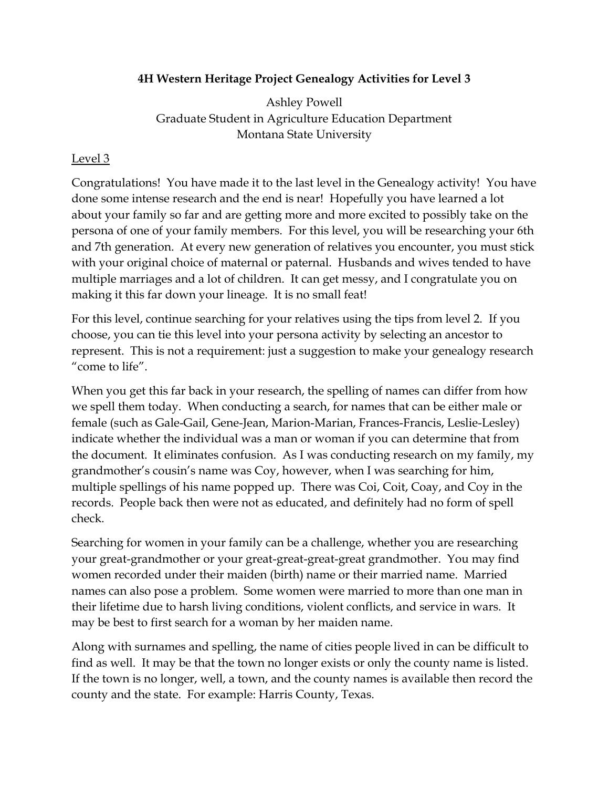## **4H Western Heritage Project Genealogy Activities for Level 3**

Ashley Powell Graduate Student in Agriculture Education Department Montana State University

## Level 3

Congratulations! You have made it to the last level in the Genealogy activity! You have done some intense research and the end is near! Hopefully you have learned a lot about your family so far and are getting more and more excited to possibly take on the persona of one of your family members. For this level, you will be researching your 6th and 7th generation. At every new generation of relatives you encounter, you must stick with your original choice of maternal or paternal. Husbands and wives tended to have multiple marriages and a lot of children. It can get messy, and I congratulate you on making it this far down your lineage. It is no small feat!

For this level, continue searching for your relatives using the tips from level 2. If you choose, you can tie this level into your persona activity by selecting an ancestor to represent. This is not a requirement: just a suggestion to make your genealogy research "come to life".

When you get this far back in your research, the spelling of names can differ from how we spell them today. When conducting a search, for names that can be either male or female (such as Gale-Gail, Gene-Jean, Marion-Marian, Frances-Francis, Leslie-Lesley) indicate whether the individual was a man or woman if you can determine that from the document. It eliminates confusion. As I was conducting research on my family, my grandmother's cousin's name was Coy, however, when I was searching for him, multiple spellings of his name popped up. There was Coi, Coit, Coay, and Coy in the records. People back then were not as educated, and definitely had no form of spell check.

Searching for women in your family can be a challenge, whether you are researching your great-grandmother or your great-great-great-great grandmother. You may find women recorded under their maiden (birth) name or their married name. Married names can also pose a problem. Some women were married to more than one man in their lifetime due to harsh living conditions, violent conflicts, and service in wars. It may be best to first search for a woman by her maiden name.

Along with surnames and spelling, the name of cities people lived in can be difficult to find as well. It may be that the town no longer exists or only the county name is listed. If the town is no longer, well, a town, and the county names is available then record the county and the state. For example: Harris County, Texas.